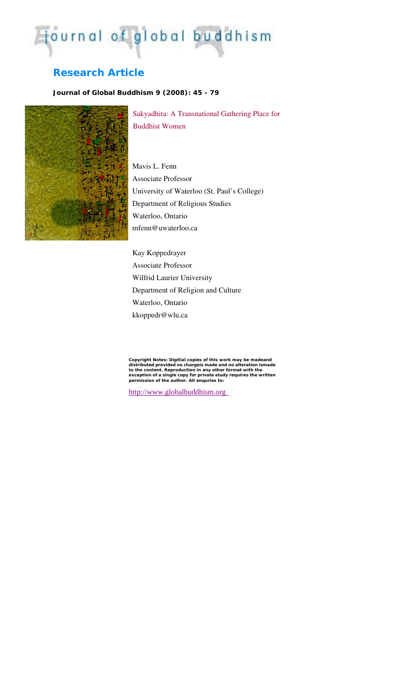# journal of global buddhism

# **Research Article**

# *Journal of Global Buddhism 9 (2008): 45 - 79*



Sakyadhita: A Transnational Gathering Place for Buddhist Women

Mavis L. Fenn Associate Professor University of Waterloo (St. Paul's College) Department of Religious Studies Waterloo, Ontario mfenn@uwaterloo.ca

Kay Koppedrayer Associate Professor Wilfrid Laurier University Department of Religion and Culture Waterloo, Ontario kkoppedr@wlu.ca

Copyright Notes: Digitial copies of this work may be madeand<br>distributed provided no chargels made and no alteration ismade<br>to the content. Reproduction in any other format with the<br>exception of a single copy for private s

http://www.globalbuddhism.org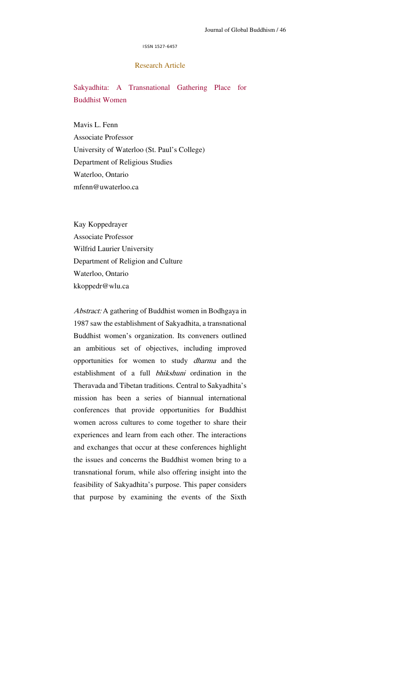#### ISSN 1527-6457

# Research Article

Sakyadhita: A Transnational Gathering Place for Buddhist Women

Mavis L. Fenn Associate Professor University of Waterloo (St. Paul's College) Department of Religious Studies Waterloo, Ontario mfenn@uwaterloo.ca

Kay Koppedrayer Associate Professor Wilfrid Laurier University Department of Religion and Culture Waterloo, Ontario kkoppedr@wlu.ca

Abstract: A gathering of Buddhist women in Bodhgaya in 1987 saw the establishment of Sakyadhita, a transnational Buddhist women's organization. Its conveners outlined an ambitious set of objectives, including improved opportunities for women to study dharma and the establishment of a full bhikshuni ordination in the Theravada and Tibetan traditions. Central to Sakyadhita's mission has been a series of biannual international conferences that provide opportunities for Buddhist women across cultures to come together to share their experiences and learn from each other. The interactions and exchanges that occur at these conferences highlight the issues and concerns the Buddhist women bring to a transnational forum, while also offering insight into the feasibility of Sakyadhita's purpose. This paper considers that purpose by examining the events of the Sixth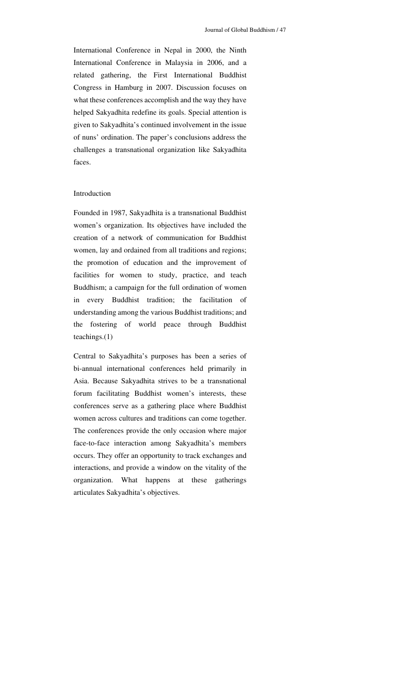International Conference in Nepal in 2000, the Ninth International Conference in Malaysia in 2006, and a related gathering, the First International Buddhist Congress in Hamburg in 2007. Discussion focuses on what these conferences accomplish and the way they have helped Sakyadhita redefine its goals. Special attention is given to Sakyadhita's continued involvement in the issue of nuns' ordination. The paper's conclusions address the challenges a transnational organization like Sakyadhita faces.

#### Introduction

Founded in 1987, Sakyadhita is a transnational Buddhist women's organization. Its objectives have included the creation of a network of communication for Buddhist women, lay and ordained from all traditions and regions; the promotion of education and the improvement of facilities for women to study, practice, and teach Buddhism; a campaign for the full ordination of women in every Buddhist tradition; the facilitation of understanding among the various Buddhist traditions; and the fostering of world peace through Buddhist teachings.(1)

Central to Sakyadhita's purposes has been a series of bi-annual international conferences held primarily in Asia. Because Sakyadhita strives to be a transnational forum facilitating Buddhist women's interests, these conferences serve as a gathering place where Buddhist women across cultures and traditions can come together. The conferences provide the only occasion where major face-to-face interaction among Sakyadhita's members occurs. They offer an opportunity to track exchanges and interactions, and provide a window on the vitality of the organization. What happens at these gatherings articulates Sakyadhita's objectives.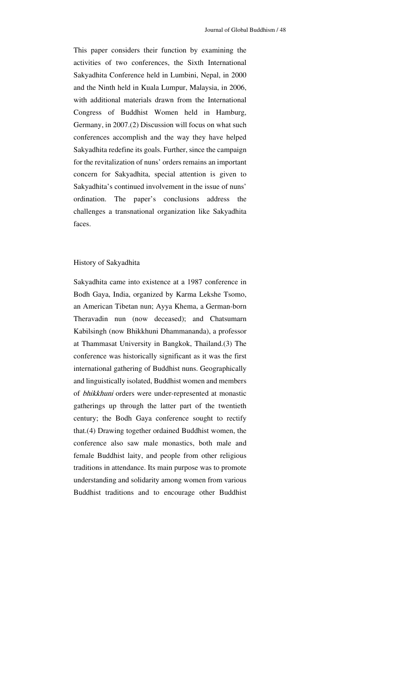This paper considers their function by examining the activities of two conferences, the Sixth International Sakyadhita Conference held in Lumbini, Nepal, in 2000 and the Ninth held in Kuala Lumpur, Malaysia, in 2006, with additional materials drawn from the International Congress of Buddhist Women held in Hamburg, Germany, in 2007.(2) Discussion will focus on what such conferences accomplish and the way they have helped Sakyadhita redefine its goals. Further, since the campaign for the revitalization of nuns' orders remains an important concern for Sakyadhita, special attention is given to Sakyadhita's continued involvement in the issue of nuns' ordination. The paper's conclusions address the challenges a transnational organization like Sakyadhita faces.

#### History of Sakyadhita

Sakyadhita came into existence at a 1987 conference in Bodh Gaya, India, organized by Karma Lekshe Tsomo, an American Tibetan nun; Ayya Khema, a German-born Theravadin nun (now deceased); and Chatsumarn Kabilsingh (now Bhikkhuni Dhammananda), a professor at Thammasat University in Bangkok, Thailand.(3) The conference was historically significant as it was the first international gathering of Buddhist nuns. Geographically and linguistically isolated, Buddhist women and members of bhikkhuni orders were under-represented at monastic gatherings up through the latter part of the twentieth century; the Bodh Gaya conference sought to rectify that.(4) Drawing together ordained Buddhist women, the conference also saw male monastics, both male and female Buddhist laity, and people from other religious traditions in attendance. Its main purpose was to promote understanding and solidarity among women from various Buddhist traditions and to encourage other Buddhist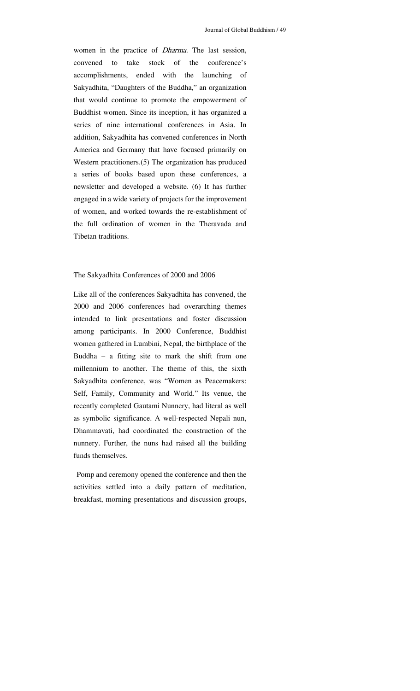women in the practice of Dharma. The last session, convened to take stock of the conference's accomplishments, ended with the launching of Sakyadhita, "Daughters of the Buddha," an organization that would continue to promote the empowerment of Buddhist women. Since its inception, it has organized a series of nine international conferences in Asia. In addition, Sakyadhita has convened conferences in North America and Germany that have focused primarily on Western practitioners.(5) The organization has produced a series of books based upon these conferences, a newsletter and developed a website. (6) It has further engaged in a wide variety of projects for the improvement of women, and worked towards the re-establishment of the full ordination of women in the Theravada and Tibetan traditions.

#### The Sakyadhita Conferences of 2000 and 2006

Like all of the conferences Sakyadhita has convened, the 2000 and 2006 conferences had overarching themes intended to link presentations and foster discussion among participants. In 2000 Conference, Buddhist women gathered in Lumbini, Nepal, the birthplace of the Buddha – a fitting site to mark the shift from one millennium to another. The theme of this, the sixth Sakyadhita conference, was "Women as Peacemakers: Self, Family, Community and World." Its venue, the recently completed Gautami Nunnery, had literal as well as symbolic significance. A well-respected Nepali nun, Dhammavati, had coordinated the construction of the nunnery. Further, the nuns had raised all the building funds themselves.

 Pomp and ceremony opened the conference and then the activities settled into a daily pattern of meditation, breakfast, morning presentations and discussion groups,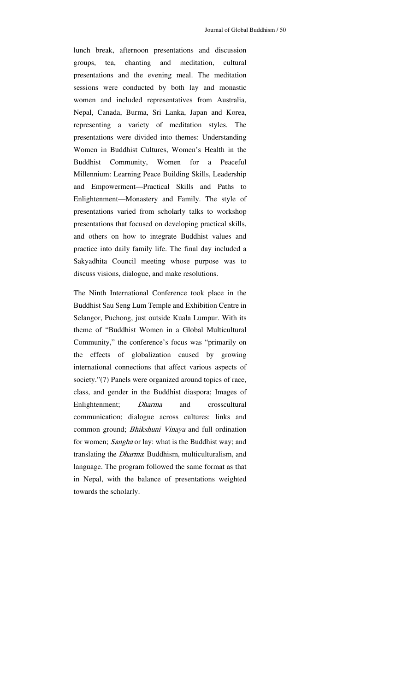lunch break, afternoon presentations and discussion groups, tea, chanting and meditation, cultural presentations and the evening meal. The meditation sessions were conducted by both lay and monastic women and included representatives from Australia, Nepal, Canada, Burma, Sri Lanka, Japan and Korea, representing a variety of meditation styles. The presentations were divided into themes: Understanding Women in Buddhist Cultures, Women's Health in the Buddhist Community, Women for a Peaceful Millennium: Learning Peace Building Skills, Leadership and Empowerment—Practical Skills and Paths to Enlightenment—Monastery and Family. The style of presentations varied from scholarly talks to workshop presentations that focused on developing practical skills, and others on how to integrate Buddhist values and practice into daily family life. The final day included a Sakyadhita Council meeting whose purpose was to discuss visions, dialogue, and make resolutions.

The Ninth International Conference took place in the Buddhist Sau Seng Lum Temple and Exhibition Centre in Selangor, Puchong, just outside Kuala Lumpur. With its theme of "Buddhist Women in a Global Multicultural Community," the conference's focus was "primarily on the effects of globalization caused by growing international connections that affect various aspects of society."(7) Panels were organized around topics of race, class, and gender in the Buddhist diaspora; Images of Enlightenment; Dharma and crosscultural communication; dialogue across cultures: links and common ground; Bhikshuni Vinaya and full ordination for women; Sangha or lay: what is the Buddhist way; and translating the Dharma: Buddhism, multiculturalism, and language. The program followed the same format as that in Nepal, with the balance of presentations weighted towards the scholarly.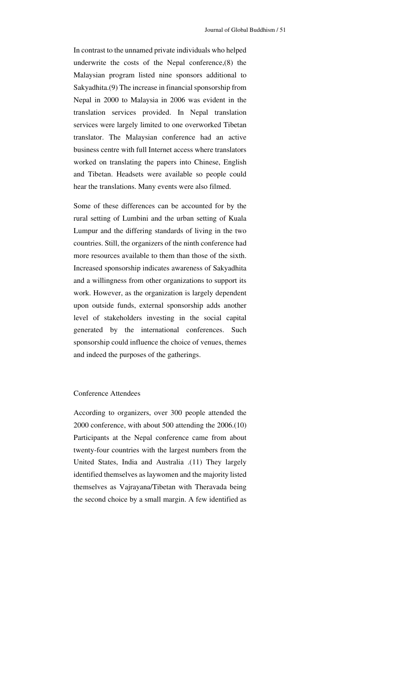In contrast to the unnamed private individuals who helped underwrite the costs of the Nepal conference,(8) the Malaysian program listed nine sponsors additional to Sakyadhita.(9) The increase in financial sponsorship from Nepal in 2000 to Malaysia in 2006 was evident in the translation services provided. In Nepal translation services were largely limited to one overworked Tibetan translator. The Malaysian conference had an active business centre with full Internet access where translators worked on translating the papers into Chinese, English and Tibetan. Headsets were available so people could hear the translations. Many events were also filmed.

Some of these differences can be accounted for by the rural setting of Lumbini and the urban setting of Kuala Lumpur and the differing standards of living in the two countries. Still, the organizers of the ninth conference had more resources available to them than those of the sixth. Increased sponsorship indicates awareness of Sakyadhita and a willingness from other organizations to support its work. However, as the organization is largely dependent upon outside funds, external sponsorship adds another level of stakeholders investing in the social capital generated by the international conferences. Such sponsorship could influence the choice of venues, themes and indeed the purposes of the gatherings.

#### Conference Attendees

According to organizers, over 300 people attended the 2000 conference, with about 500 attending the 2006.(10) Participants at the Nepal conference came from about twenty-four countries with the largest numbers from the United States, India and Australia .(11) They largely identified themselves as laywomen and the majority listed themselves as Vajrayana/Tibetan with Theravada being the second choice by a small margin. A few identified as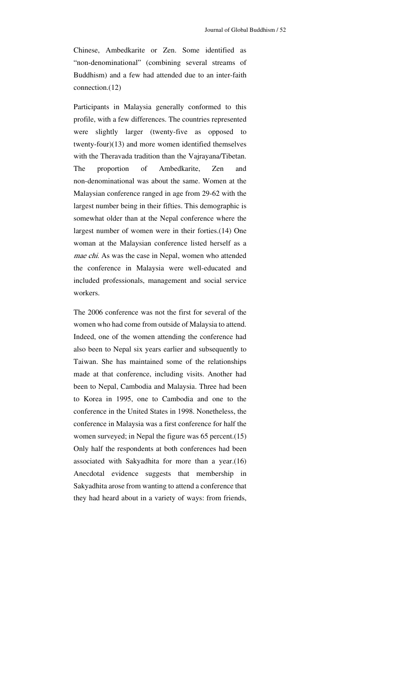Chinese, Ambedkarite or Zen. Some identified as "non-denominational" (combining several streams of Buddhism) and a few had attended due to an inter-faith connection.(12)

Participants in Malaysia generally conformed to this profile, with a few differences. The countries represented were slightly larger (twenty-five as opposed to twenty-four)(13) and more women identified themselves with the Theravada tradition than the Vajrayana/Tibetan. The proportion of Ambedkarite, Zen and non-denominational was about the same. Women at the Malaysian conference ranged in age from 29-62 with the largest number being in their fifties. This demographic is somewhat older than at the Nepal conference where the largest number of women were in their forties.(14) One woman at the Malaysian conference listed herself as a mae chi. As was the case in Nepal, women who attended the conference in Malaysia were well-educated and included professionals, management and social service workers.

The 2006 conference was not the first for several of the women who had come from outside of Malaysia to attend. Indeed, one of the women attending the conference had also been to Nepal six years earlier and subsequently to Taiwan. She has maintained some of the relationships made at that conference, including visits. Another had been to Nepal, Cambodia and Malaysia. Three had been to Korea in 1995, one to Cambodia and one to the conference in the United States in 1998. Nonetheless, the conference in Malaysia was a first conference for half the women surveyed; in Nepal the figure was 65 percent.(15) Only half the respondents at both conferences had been associated with Sakyadhita for more than a year.(16) Anecdotal evidence suggests that membership in Sakyadhita arose from wanting to attend a conference that they had heard about in a variety of ways: from friends,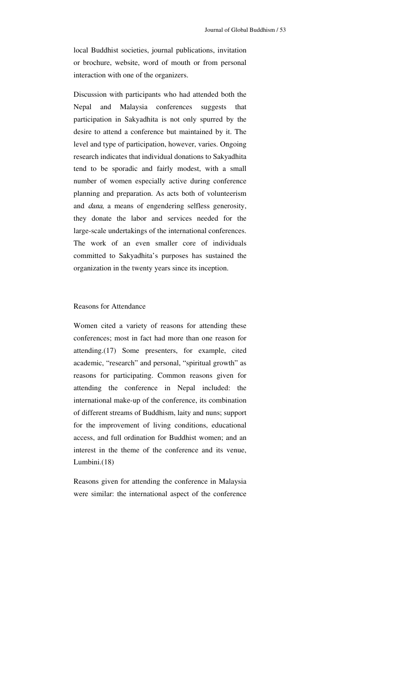local Buddhist societies, journal publications, invitation or brochure, website, word of mouth or from personal interaction with one of the organizers.

Discussion with participants who had attended both the Nepal and Malaysia conferences suggests that participation in Sakyadhita is not only spurred by the desire to attend a conference but maintained by it. The level and type of participation, however, varies. Ongoing research indicates that individual donations to Sakyadhita tend to be sporadic and fairly modest, with a small number of women especially active during conference planning and preparation. As acts both of volunteerism and dana, a means of engendering selfless generosity, they donate the labor and services needed for the large-scale undertakings of the international conferences. The work of an even smaller core of individuals committed to Sakyadhita's purposes has sustained the organization in the twenty years since its inception.

### Reasons for Attendance

Women cited a variety of reasons for attending these conferences; most in fact had more than one reason for attending.(17) Some presenters, for example, cited academic, "research" and personal, "spiritual growth" as reasons for participating. Common reasons given for attending the conference in Nepal included: the international make-up of the conference, its combination of different streams of Buddhism, laity and nuns; support for the improvement of living conditions, educational access, and full ordination for Buddhist women; and an interest in the theme of the conference and its venue, Lumbini.(18)

Reasons given for attending the conference in Malaysia were similar: the international aspect of the conference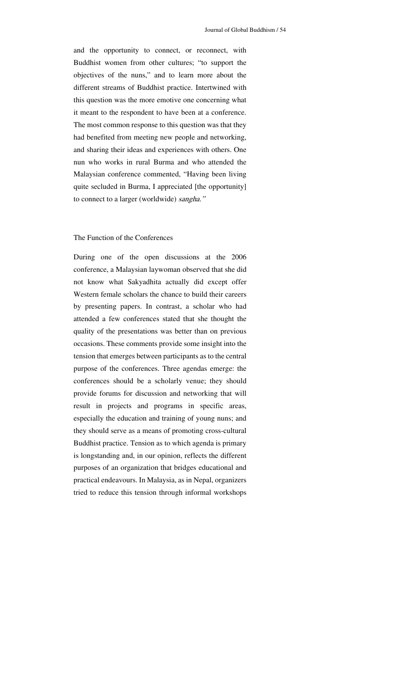and the opportunity to connect, or reconnect, with Buddhist women from other cultures; "to support the objectives of the nuns," and to learn more about the different streams of Buddhist practice. Intertwined with this question was the more emotive one concerning what it meant to the respondent to have been at a conference. The most common response to this question was that they had benefited from meeting new people and networking, and sharing their ideas and experiences with others. One nun who works in rural Burma and who attended the Malaysian conference commented, "Having been living quite secluded in Burma, I appreciated [the opportunity] to connect to a larger (worldwide) sangha."

## The Function of the Conferences

During one of the open discussions at the 2006 conference, a Malaysian laywoman observed that she did not know what Sakyadhita actually did except offer Western female scholars the chance to build their careers by presenting papers. In contrast, a scholar who had attended a few conferences stated that she thought the quality of the presentations was better than on previous occasions. These comments provide some insight into the tension that emerges between participants as to the central purpose of the conferences. Three agendas emerge: the conferences should be a scholarly venue; they should provide forums for discussion and networking that will result in projects and programs in specific areas, especially the education and training of young nuns; and they should serve as a means of promoting cross-cultural Buddhist practice. Tension as to which agenda is primary is longstanding and, in our opinion, reflects the different purposes of an organization that bridges educational and practical endeavours. In Malaysia, as in Nepal, organizers tried to reduce this tension through informal workshops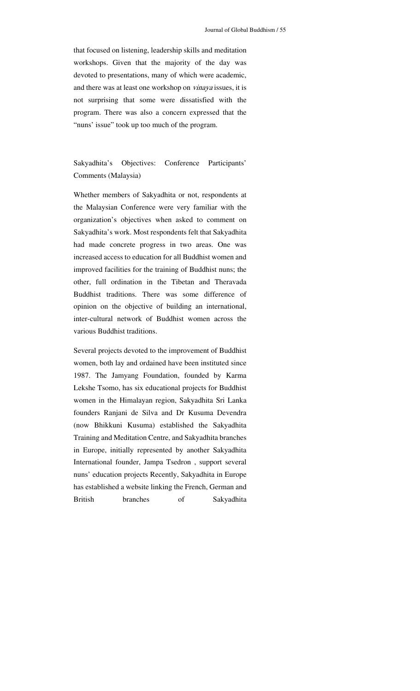that focused on listening, leadership skills and meditation workshops. Given that the majority of the day was devoted to presentations, many of which were academic, and there was at least one workshop on *vinaya* issues, it is not surprising that some were dissatisfied with the program. There was also a concern expressed that the "nuns' issue" took up too much of the program.

# Sakyadhita's Objectives: Conference Participants' Comments (Malaysia)

Whether members of Sakyadhita or not, respondents at the Malaysian Conference were very familiar with the organization's objectives when asked to comment on Sakyadhita's work. Most respondents felt that Sakyadhita had made concrete progress in two areas. One was increased access to education for all Buddhist women and improved facilities for the training of Buddhist nuns; the other, full ordination in the Tibetan and Theravada Buddhist traditions. There was some difference of opinion on the objective of building an international, inter-cultural network of Buddhist women across the various Buddhist traditions.

Several projects devoted to the improvement of Buddhist women, both lay and ordained have been instituted since 1987. The Jamyang Foundation, founded by Karma Lekshe Tsomo, has six educational projects for Buddhist women in the Himalayan region, Sakyadhita Sri Lanka founders Ranjani de Silva and Dr Kusuma Devendra (now Bhikkuni Kusuma) established the Sakyadhita Training and Meditation Centre, and Sakyadhita branches in Europe, initially represented by another Sakyadhita International founder, Jampa Tsedron , support several nuns' education projects Recently, Sakyadhita in Europe has established a website linking the French, German and British branches of Sakyadhita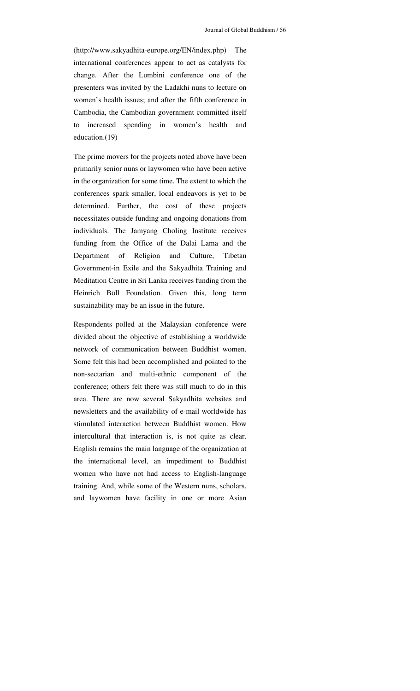(http://www.sakyadhita-europe.org/EN/index.php) The international conferences appear to act as catalysts for change. After the Lumbini conference one of the presenters was invited by the Ladakhi nuns to lecture on women's health issues; and after the fifth conference in Cambodia, the Cambodian government committed itself to increased spending in women's health and education.(19)

The prime movers for the projects noted above have been primarily senior nuns or laywomen who have been active in the organization for some time. The extent to which the conferences spark smaller, local endeavors is yet to be determined. Further, the cost of these projects necessitates outside funding and ongoing donations from individuals. The Jamyang Choling Institute receives funding from the Office of the Dalai Lama and the Department of Religion and Culture, Tibetan Government-in Exile and the Sakyadhita Training and Meditation Centre in Sri Lanka receives funding from the Heinrich Böll Foundation. Given this, long term sustainability may be an issue in the future.

Respondents polled at the Malaysian conference were divided about the objective of establishing a worldwide network of communication between Buddhist women. Some felt this had been accomplished and pointed to the non-sectarian and multi-ethnic component of the conference; others felt there was still much to do in this area. There are now several Sakyadhita websites and newsletters and the availability of e-mail worldwide has stimulated interaction between Buddhist women. How intercultural that interaction is, is not quite as clear. English remains the main language of the organization at the international level, an impediment to Buddhist women who have not had access to English-language training. And, while some of the Western nuns, scholars, and laywomen have facility in one or more Asian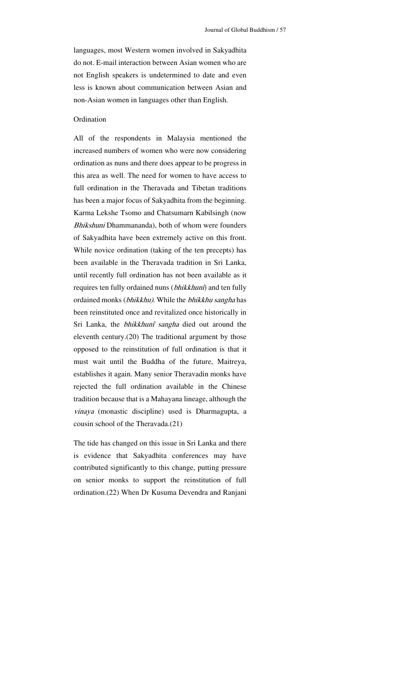languages, most Western women involved in Sakyadhita do not. E-mail interaction between Asian women who are not English speakers is undetermined to date and even less is known about communication between Asian and non-Asian women in languages other than English.

#### Ordination

All of the respondents in Malaysia mentioned the increased numbers of women who were now considering ordination as nuns and there does appear to be progress in this area as well. The need for women to have access to full ordination in the Theravada and Tibetan traditions has been a major focus of Sakyadhita from the beginning. Karma Lekshe Tsomo and Chatsumarn Kabilsingh (now Bhikshuni Dhammananda), both of whom were founders of Sakyadhita have been extremely active on this front. While novice ordination (taking of the ten precepts) has been available in the Theravada tradition in Sri Lanka, until recently full ordination has not been available as it requires ten fully ordained nuns (bhikkhunî) and ten fully ordained monks (bhikkhu). While the bhikkhu sangha has been reinstituted once and revitalized once historically in Sri Lanka, the bhikkhunî sangha died out around the eleventh century.(20) The traditional argument by those opposed to the reinstitution of full ordination is that it must wait until the Buddha of the future, Maitreya, establishes it again. Many senior Theravadin monks have rejected the full ordination available in the Chinese tradition because that is a Mahayana lineage, although the vinaya (monastic discipline) used is Dharmagupta, a cousin school of the Theravada.(21)

The tide has changed on this issue in Sri Lanka and there is evidence that Sakyadhita conferences may have contributed significantly to this change, putting pressure on senior monks to support the reinstitution of full ordination.(22) When Dr Kusuma Devendra and Ranjani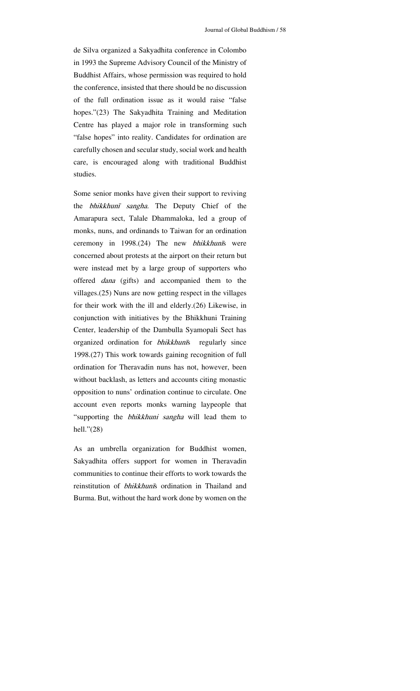de Silva organized a Sakyadhita conference in Colombo in 1993 the Supreme Advisory Council of the Ministry of Buddhist Affairs, whose permission was required to hold the conference, insisted that there should be no discussion of the full ordination issue as it would raise "false hopes."(23) The Sakyadhita Training and Meditation Centre has played a major role in transforming such "false hopes" into reality. Candidates for ordination are carefully chosen and secular study, social work and health care, is encouraged along with traditional Buddhist studies.

Some senior monks have given their support to reviving the bhikkhunī sangha. The Deputy Chief of the Amarapura sect, Talale Dhammaloka, led a group of monks, nuns, and ordinands to Taiwan for an ordination ceremony in 1998.(24) The new bhikkhunīs were concerned about protests at the airport on their return but were instead met by a large group of supporters who offered dana (gifts) and accompanied them to the villages.(25) Nuns are now getting respect in the villages for their work with the ill and elderly.(26) Likewise, in conjunction with initiatives by the Bhikkhuni Training Center, leadership of the Dambulla Syamopali Sect has organized ordination for bhikkhunīs regularly since 1998.(27) This work towards gaining recognition of full ordination for Theravadin nuns has not, however, been without backlash, as letters and accounts citing monastic opposition to nuns' ordination continue to circulate. One account even reports monks warning laypeople that "supporting the *bhikkhuni sangha* will lead them to hell."(28)

As an umbrella organization for Buddhist women, Sakyadhita offers support for women in Theravadin communities to continue their efforts to work towards the reinstitution of bhikkhunīs ordination in Thailand and Burma. But, without the hard work done by women on the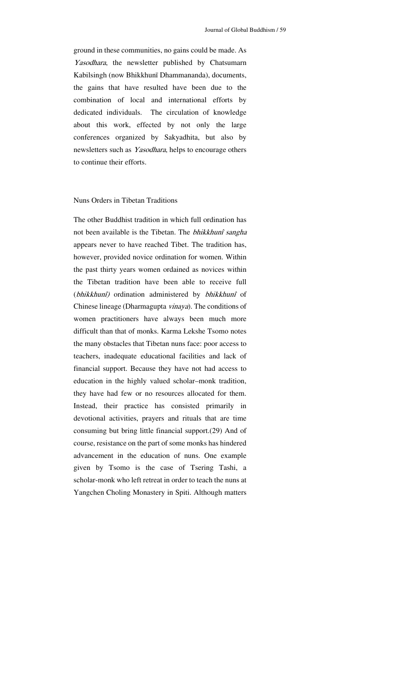ground in these communities, no gains could be made. As Yasodhara, the newsletter published by Chatsumarn Kabilsingh (now Bhikkhunī Dhammananda), documents, the gains that have resulted have been due to the combination of local and international efforts by dedicated individuals. The circulation of knowledge about this work, effected by not only the large conferences organized by Sakyadhita, but also by newsletters such as Yasodhara, helps to encourage others to continue their efforts.

#### Nuns Orders in Tibetan Traditions

The other Buddhist tradition in which full ordination has not been available is the Tibetan. The bhikkhunî sangha appears never to have reached Tibet. The tradition has, however, provided novice ordination for women. Within the past thirty years women ordained as novices within the Tibetan tradition have been able to receive full (bhikkhunî) ordination administered by bhikkhunî of Chinese lineage (Dharmagupta vinaya). The conditions of women practitioners have always been much more difficult than that of monks. Karma Lekshe Tsomo notes the many obstacles that Tibetan nuns face: poor access to teachers, inadequate educational facilities and lack of financial support. Because they have not had access to education in the highly valued scholar–monk tradition, they have had few or no resources allocated for them. Instead, their practice has consisted primarily in devotional activities, prayers and rituals that are time consuming but bring little financial support.(29) And of course, resistance on the part of some monks has hindered advancement in the education of nuns. One example given by Tsomo is the case of Tsering Tashi, a scholar-monk who left retreat in order to teach the nuns at Yangchen Choling Monastery in Spiti. Although matters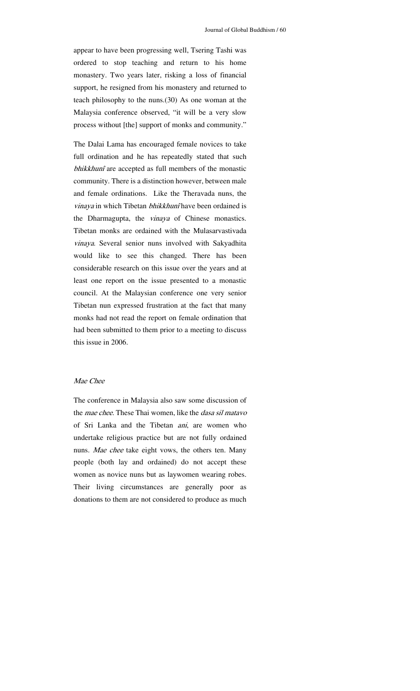appear to have been progressing well, Tsering Tashi was ordered to stop teaching and return to his home monastery. Two years later, risking a loss of financial support, he resigned from his monastery and returned to teach philosophy to the nuns.(30) As one woman at the Malaysia conference observed, "it will be a very slow process without [the] support of monks and community."

The Dalai Lama has encouraged female novices to take full ordination and he has repeatedly stated that such bhikkhunî are accepted as full members of the monastic community. There is a distinction however, between male and female ordinations. Like the Theravada nuns, the vinaya in which Tibetan bhikkhunî have been ordained is the Dharmagupta, the vinaya of Chinese monastics. Tibetan monks are ordained with the Mulasarvastivada vinaya. Several senior nuns involved with Sakyadhita would like to see this changed. There has been considerable research on this issue over the years and at least one report on the issue presented to a monastic council. At the Malaysian conference one very senior Tibetan nun expressed frustration at the fact that many monks had not read the report on female ordination that had been submitted to them prior to a meeting to discuss this issue in 2006.

# Mae Chee

The conference in Malaysia also saw some discussion of the *mae chee*. These Thai women, like the *dasa sil matavo* of Sri Lanka and the Tibetan ani, are women who undertake religious practice but are not fully ordained nuns. Mae chee take eight vows, the others ten. Many people (both lay and ordained) do not accept these women as novice nuns but as laywomen wearing robes. Their living circumstances are generally poor as donations to them are not considered to produce as much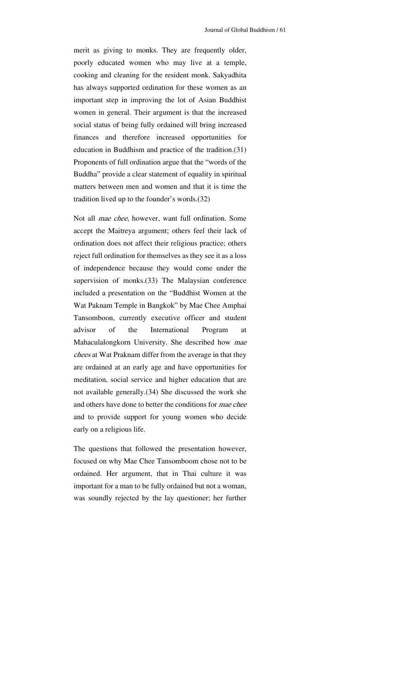merit as giving to monks. They are frequently older, poorly educated women who may live at a temple, cooking and cleaning for the resident monk. Sakyadhita has always supported ordination for these women as an important step in improving the lot of Asian Buddhist women in general. Their argument is that the increased social status of being fully ordained will bring increased finances and therefore increased opportunities for education in Buddhism and practice of the tradition.(31) Proponents of full ordination argue that the "words of the Buddha" provide a clear statement of equality in spiritual matters between men and women and that it is time the tradition lived up to the founder's words.(32)

Not all mae chee, however, want full ordination. Some accept the Maitreya argument; others feel their lack of ordination does not affect their religious practice; others reject full ordination for themselves as they see it as a loss of independence because they would come under the supervision of monks.(33) The Malaysian conference included a presentation on the "Buddhist Women at the Wat Paknam Temple in Bangkok" by Mae Chee Amphai Tansomboon, currently executive officer and student advisor of the International Program at Mahaculalongkorn University. She described how mae chees at Wat Praknam differ from the average in that they are ordained at an early age and have opportunities for meditation, social service and higher education that are not available generally.(34) She discussed the work she and others have done to better the conditions for mae chee and to provide support for young women who decide early on a religious life.

The questions that followed the presentation however, focused on why Mae Chee Tansomboom chose not to be ordained. Her argument, that in Thai culture it was important for a man to be fully ordained but not a woman, was soundly rejected by the lay questioner; her further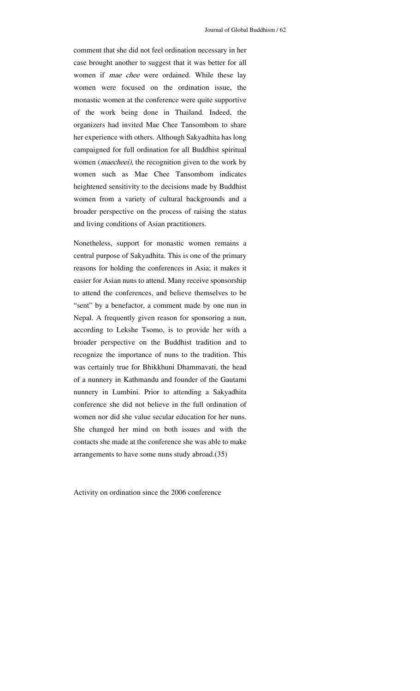comment that she did not feel ordination necessary in her case brought another to suggest that it was better for all women if mae chee were ordained. While these lay women were focused on the ordination issue, the monastic women at the conference were quite supportive of the work being done in Thailand. Indeed, the organizers had invited Mae Chee Tansombom to share her experience with others. Although Sakyadhita has long campaigned for full ordination for all Buddhist spiritual women (*maecheei*), the recognition given to the work by women such as Mae Chee Tansombom indicates heightened sensitivity to the decisions made by Buddhist women from a variety of cultural backgrounds and a broader perspective on the process of raising the status and living conditions of Asian practitioners.

Nonetheless, support for monastic women remains a central purpose of Sakyadhita. This is one of the primary reasons for holding the conferences in Asia; it makes it easier for Asian nuns to attend. Many receive sponsorship to attend the conferences, and believe themselves to be "sent" by a benefactor, a comment made by one nun in Nepal. A frequently given reason for sponsoring a nun, according to Lekshe Tsomo, is to provide her with a broader perspective on the Buddhist tradition and to recognize the importance of nuns to the tradition. This was certainly true for Bhikkhuni Dhammavati, the head of a nunnery in Kathmandu and founder of the Gautami nunnery in Lumbini. Prior to attending a Sakyadhita conference she did not believe in the full ordination of women nor did she value secular education for her nuns. She changed her mind on both issues and with the contacts she made at the conference she was able to make arrangements to have some nuns study abroad.(35)

Activity on ordination since the 2006 conference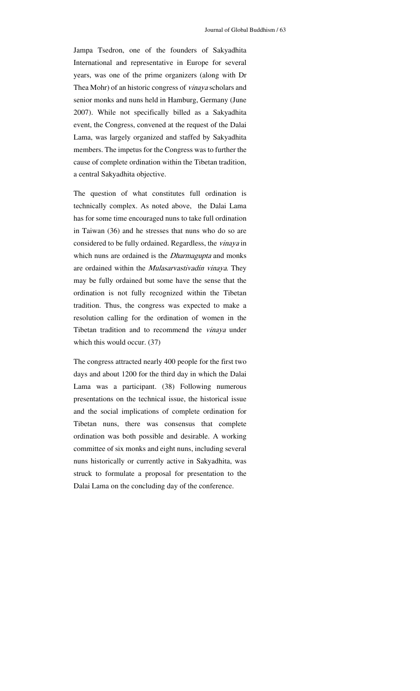Jampa Tsedron, one of the founders of Sakyadhita International and representative in Europe for several years, was one of the prime organizers (along with Dr Thea Mohr) of an historic congress of *vinaya* scholars and senior monks and nuns held in Hamburg, Germany (June 2007). While not specifically billed as a Sakyadhita event, the Congress, convened at the request of the Dalai Lama, was largely organized and staffed by Sakyadhita members. The impetus for the Congress was to further the cause of complete ordination within the Tibetan tradition, a central Sakyadhita objective.

The question of what constitutes full ordination is technically complex. As noted above, the Dalai Lama has for some time encouraged nuns to take full ordination in Taiwan (36) and he stresses that nuns who do so are considered to be fully ordained. Regardless, the vinaya in which nuns are ordained is the *Dharmagupta* and monks are ordained within the *Mulasarvastivadin vinaya*. They may be fully ordained but some have the sense that the ordination is not fully recognized within the Tibetan tradition. Thus, the congress was expected to make a resolution calling for the ordination of women in the Tibetan tradition and to recommend the *vinaya* under which this would occur. (37)

The congress attracted nearly 400 people for the first two days and about 1200 for the third day in which the Dalai Lama was a participant. (38) Following numerous presentations on the technical issue, the historical issue and the social implications of complete ordination for Tibetan nuns, there was consensus that complete ordination was both possible and desirable. A working committee of six monks and eight nuns, including several nuns historically or currently active in Sakyadhita, was struck to formulate a proposal for presentation to the Dalai Lama on the concluding day of the conference.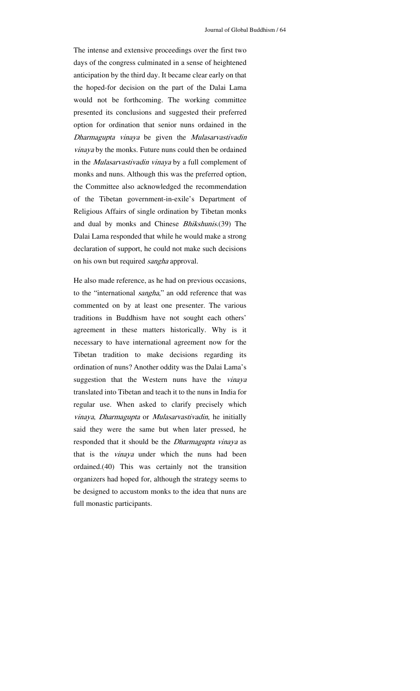The intense and extensive proceedings over the first two days of the congress culminated in a sense of heightened anticipation by the third day. It became clear early on that the hoped-for decision on the part of the Dalai Lama would not be forthcoming. The working committee presented its conclusions and suggested their preferred option for ordination that senior nuns ordained in the Dharmagupta vinaya be given the Mulasarvastivadin vinaya by the monks. Future nuns could then be ordained in the Mulasarvastivadin vinaya by a full complement of monks and nuns. Although this was the preferred option, the Committee also acknowledged the recommendation of the Tibetan government-in-exile's Department of Religious Affairs of single ordination by Tibetan monks and dual by monks and Chinese Bhikshunis.(39) The Dalai Lama responded that while he would make a strong declaration of support, he could not make such decisions on his own but required sangha approval.

He also made reference, as he had on previous occasions, to the "international *sangha*," an odd reference that was commented on by at least one presenter. The various traditions in Buddhism have not sought each others' agreement in these matters historically. Why is it necessary to have international agreement now for the Tibetan tradition to make decisions regarding its ordination of nuns? Another oddity was the Dalai Lama's suggestion that the Western nuns have the *vinaya* translated into Tibetan and teach it to the nuns in India for regular use. When asked to clarify precisely which vinaya, Dharmagupta or Mulasarvastivadin, he initially said they were the same but when later pressed, he responded that it should be the *Dharmagupta vinaya* as that is the vinaya under which the nuns had been ordained.(40) This was certainly not the transition organizers had hoped for, although the strategy seems to be designed to accustom monks to the idea that nuns are full monastic participants.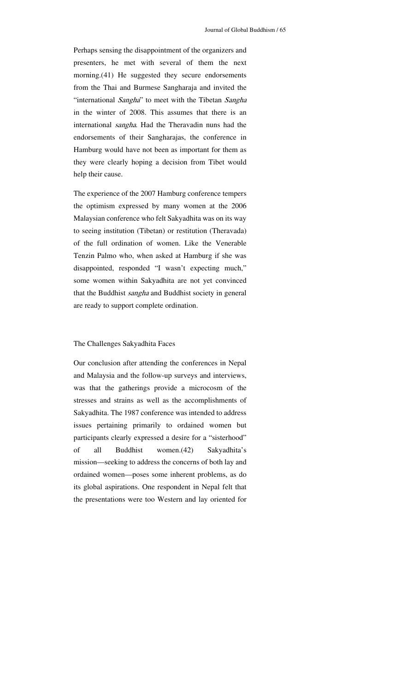Perhaps sensing the disappointment of the organizers and presenters, he met with several of them the next morning.(41) He suggested they secure endorsements from the Thai and Burmese Sangharaja and invited the "international Sangha" to meet with the Tibetan Sangha in the winter of 2008. This assumes that there is an international *sangha*. Had the Theravadin nuns had the endorsements of their Sangharajas, the conference in Hamburg would have not been as important for them as they were clearly hoping a decision from Tibet would help their cause.

The experience of the 2007 Hamburg conference tempers the optimism expressed by many women at the 2006 Malaysian conference who felt Sakyadhita was on its way to seeing institution (Tibetan) or restitution (Theravada) of the full ordination of women. Like the Venerable Tenzin Palmo who, when asked at Hamburg if she was disappointed, responded "I wasn't expecting much," some women within Sakyadhita are not yet convinced that the Buddhist sangha and Buddhist society in general are ready to support complete ordination.

#### The Challenges Sakyadhita Faces

Our conclusion after attending the conferences in Nepal and Malaysia and the follow-up surveys and interviews, was that the gatherings provide a microcosm of the stresses and strains as well as the accomplishments of Sakyadhita. The 1987 conference was intended to address issues pertaining primarily to ordained women but participants clearly expressed a desire for a "sisterhood" of all Buddhist women.(42) Sakyadhita's mission—seeking to address the concerns of both lay and ordained women—poses some inherent problems, as do its global aspirations. One respondent in Nepal felt that the presentations were too Western and lay oriented for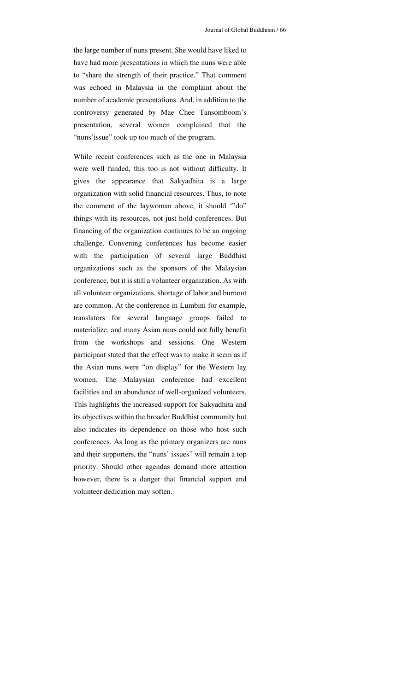the large number of nuns present. She would have liked to have had more presentations in which the nuns were able to "share the strength of their practice." That comment was echoed in Malaysia in the complaint about the number of academic presentations. And, in addition to the controversy generated by Mae Chee Tansomboom's presentation, several women complained that the "nuns'issue" took up too much of the program.

While recent conferences such as the one in Malaysia were well funded, this too is not without difficulty. It gives the appearance that Sakyadhita is a large organization with solid financial resources. Thus, to note the comment of the laywoman above, it should '"do" things with its resources, not just hold conferences. But financing of the organization continues to be an ongoing challenge. Convening conferences has become easier with the participation of several large Buddhist organizations such as the sponsors of the Malaysian conference, but it is still a volunteer organization. As with all volunteer organizations, shortage of labor and burnout are common. At the conference in Lumbini for example, translators for several language groups failed to materialize, and many Asian nuns could not fully benefit from the workshops and sessions. One Western participant stated that the effect was to make it seem as if the Asian nuns were "on display" for the Western lay women. The Malaysian conference had excellent facilities and an abundance of well-organized volunteers. This highlights the increased support for Sakyadhita and its objectives within the broader Buddhist community but also indicates its dependence on those who host such conferences. As long as the primary organizers are nuns and their supporters, the "nuns' issues" will remain a top priority. Should other agendas demand more attention however, there is a danger that financial support and volunteer dedication may soften.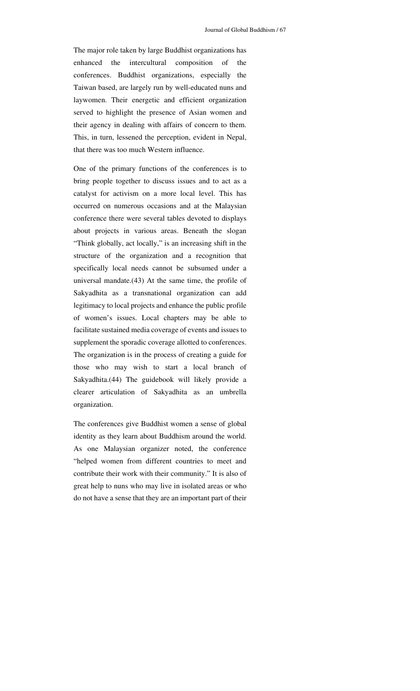The major role taken by large Buddhist organizations has enhanced the intercultural composition of the conferences. Buddhist organizations, especially the Taiwan based, are largely run by well-educated nuns and laywomen. Their energetic and efficient organization served to highlight the presence of Asian women and their agency in dealing with affairs of concern to them. This, in turn, lessened the perception, evident in Nepal, that there was too much Western influence.

One of the primary functions of the conferences is to bring people together to discuss issues and to act as a catalyst for activism on a more local level. This has occurred on numerous occasions and at the Malaysian conference there were several tables devoted to displays about projects in various areas. Beneath the slogan "Think globally, act locally," is an increasing shift in the structure of the organization and a recognition that specifically local needs cannot be subsumed under a universal mandate.(43) At the same time, the profile of Sakyadhita as a transnational organization can add legitimacy to local projects and enhance the public profile of women's issues. Local chapters may be able to facilitate sustained media coverage of events and issues to supplement the sporadic coverage allotted to conferences. The organization is in the process of creating a guide for those who may wish to start a local branch of Sakyadhita.(44) The guidebook will likely provide a clearer articulation of Sakyadhita as an umbrella organization.

The conferences give Buddhist women a sense of global identity as they learn about Buddhism around the world. As one Malaysian organizer noted, the conference "helped women from different countries to meet and contribute their work with their community." It is also of great help to nuns who may live in isolated areas or who do not have a sense that they are an important part of their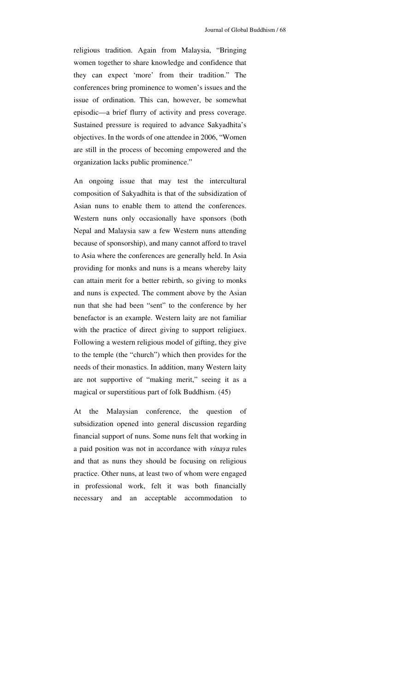religious tradition. Again from Malaysia, "Bringing women together to share knowledge and confidence that they can expect 'more' from their tradition." The conferences bring prominence to women's issues and the issue of ordination. This can, however, be somewhat episodic—a brief flurry of activity and press coverage. Sustained pressure is required to advance Sakyadhita's objectives. In the words of one attendee in 2006, "Women are still in the process of becoming empowered and the organization lacks public prominence."

An ongoing issue that may test the intercultural composition of Sakyadhita is that of the subsidization of Asian nuns to enable them to attend the conferences. Western nuns only occasionally have sponsors (both Nepal and Malaysia saw a few Western nuns attending because of sponsorship), and many cannot afford to travel to Asia where the conferences are generally held. In Asia providing for monks and nuns is a means whereby laity can attain merit for a better rebirth, so giving to monks and nuns is expected. The comment above by the Asian nun that she had been "sent" to the conference by her benefactor is an example. Western laity are not familiar with the practice of direct giving to support religiuex. Following a western religious model of gifting, they give to the temple (the "church") which then provides for the needs of their monastics. In addition, many Western laity are not supportive of "making merit," seeing it as a magical or superstitious part of folk Buddhism. (45)

At the Malaysian conference, the question of subsidization opened into general discussion regarding financial support of nuns. Some nuns felt that working in a paid position was not in accordance with vinaya rules and that as nuns they should be focusing on religious practice. Other nuns, at least two of whom were engaged in professional work, felt it was both financially necessary and an acceptable accommodation to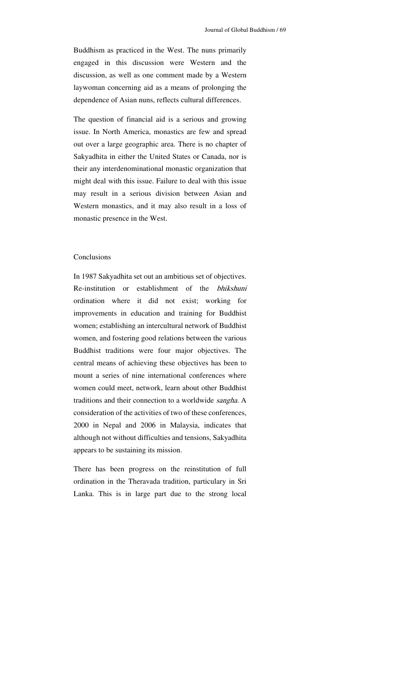Buddhism as practiced in the West. The nuns primarily engaged in this discussion were Western and the discussion, as well as one comment made by a Western laywoman concerning aid as a means of prolonging the dependence of Asian nuns, reflects cultural differences.

The question of financial aid is a serious and growing issue. In North America, monastics are few and spread out over a large geographic area. There is no chapter of Sakyadhita in either the United States or Canada, nor is their any interdenominational monastic organization that might deal with this issue. Failure to deal with this issue may result in a serious division between Asian and Western monastics, and it may also result in a loss of monastic presence in the West.

## Conclusions

In 1987 Sakyadhita set out an ambitious set of objectives. Re-institution or establishment of the bhikshuni ordination where it did not exist; working for improvements in education and training for Buddhist women; establishing an intercultural network of Buddhist women, and fostering good relations between the various Buddhist traditions were four major objectives. The central means of achieving these objectives has been to mount a series of nine international conferences where women could meet, network, learn about other Buddhist traditions and their connection to a worldwide sangha. A consideration of the activities of two of these conferences, 2000 in Nepal and 2006 in Malaysia, indicates that although not without difficulties and tensions, Sakyadhita appears to be sustaining its mission.

There has been progress on the reinstitution of full ordination in the Theravada tradition, particulary in Sri Lanka. This is in large part due to the strong local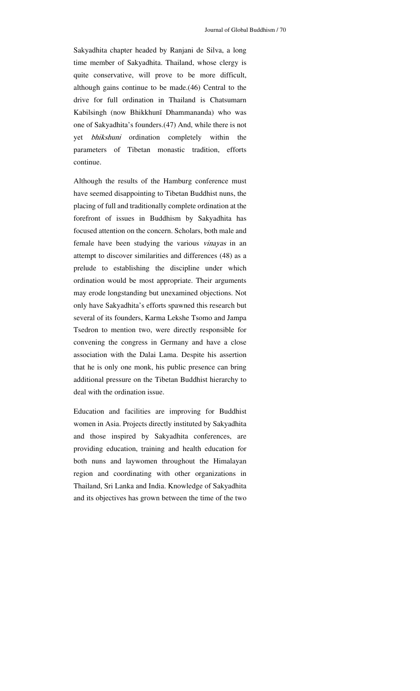Sakyadhita chapter headed by Ranjani de Silva, a long time member of Sakyadhita. Thailand, whose clergy is quite conservative, will prove to be more difficult, although gains continue to be made.(46) Central to the drive for full ordination in Thailand is Chatsumarn Kabilsingh (now Bhikkhunī Dhammananda) who was one of Sakyadhita's founders.(47) And, while there is not yet bhikshuni ordination completely within the parameters of Tibetan monastic tradition, efforts continue.

Although the results of the Hamburg conference must have seemed disappointing to Tibetan Buddhist nuns, the placing of full and traditionally complete ordination at the forefront of issues in Buddhism by Sakyadhita has focused attention on the concern. Scholars, both male and female have been studying the various *vinayas* in an attempt to discover similarities and differences (48) as a prelude to establishing the discipline under which ordination would be most appropriate. Their arguments may erode longstanding but unexamined objections. Not only have Sakyadhita's efforts spawned this research but several of its founders, Karma Lekshe Tsomo and Jampa Tsedron to mention two, were directly responsible for convening the congress in Germany and have a close association with the Dalai Lama. Despite his assertion that he is only one monk, his public presence can bring additional pressure on the Tibetan Buddhist hierarchy to deal with the ordination issue.

Education and facilities are improving for Buddhist women in Asia. Projects directly instituted by Sakyadhita and those inspired by Sakyadhita conferences, are providing education, training and health education for both nuns and laywomen throughout the Himalayan region and coordinating with other organizations in Thailand, Sri Lanka and India. Knowledge of Sakyadhita and its objectives has grown between the time of the two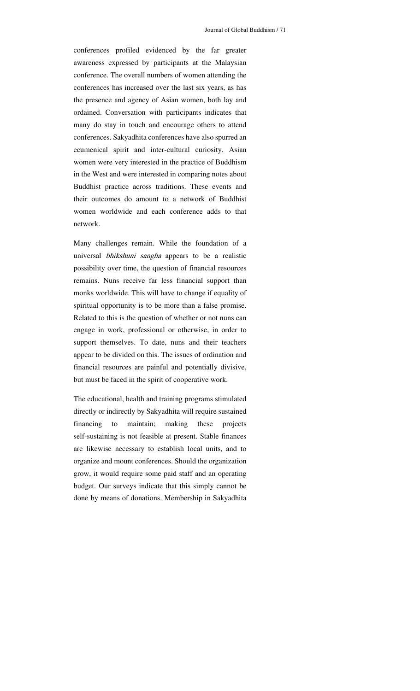conferences profiled evidenced by the far greater awareness expressed by participants at the Malaysian conference. The overall numbers of women attending the conferences has increased over the last six years, as has the presence and agency of Asian women, both lay and ordained. Conversation with participants indicates that many do stay in touch and encourage others to attend conferences. Sakyadhita conferences have also spurred an ecumenical spirit and inter-cultural curiosity. Asian women were very interested in the practice of Buddhism in the West and were interested in comparing notes about Buddhist practice across traditions. These events and their outcomes do amount to a network of Buddhist women worldwide and each conference adds to that network.

Many challenges remain. While the foundation of a universal bhikshuni sangha appears to be a realistic possibility over time, the question of financial resources remains. Nuns receive far less financial support than monks worldwide. This will have to change if equality of spiritual opportunity is to be more than a false promise. Related to this is the question of whether or not nuns can engage in work, professional or otherwise, in order to support themselves. To date, nuns and their teachers appear to be divided on this. The issues of ordination and financial resources are painful and potentially divisive, but must be faced in the spirit of cooperative work.

The educational, health and training programs stimulated directly or indirectly by Sakyadhita will require sustained financing to maintain; making these projects self-sustaining is not feasible at present. Stable finances are likewise necessary to establish local units, and to organize and mount conferences. Should the organization grow, it would require some paid staff and an operating budget. Our surveys indicate that this simply cannot be done by means of donations. Membership in Sakyadhita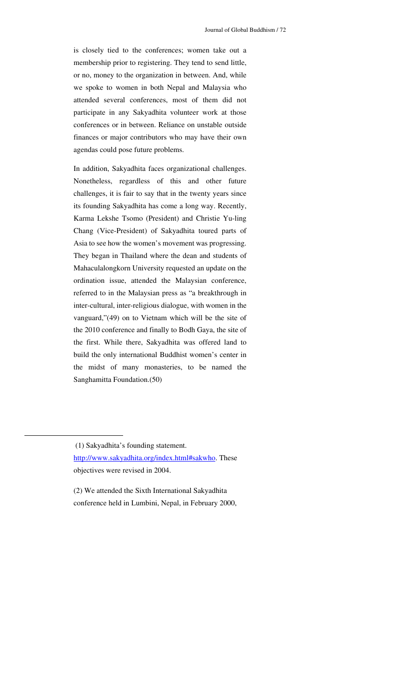is closely tied to the conferences; women take out a membership prior to registering. They tend to send little, or no, money to the organization in between. And, while we spoke to women in both Nepal and Malaysia who attended several conferences, most of them did not participate in any Sakyadhita volunteer work at those conferences or in between. Reliance on unstable outside finances or major contributors who may have their own agendas could pose future problems.

In addition, Sakyadhita faces organizational challenges. Nonetheless, regardless of this and other future challenges, it is fair to say that in the twenty years since its founding Sakyadhita has come a long way. Recently, Karma Lekshe Tsomo (President) and Christie Yu-ling Chang (Vice-President) of Sakyadhita toured parts of Asia to see how the women's movement was progressing. They began in Thailand where the dean and students of Mahaculalongkorn University requested an update on the ordination issue, attended the Malaysian conference, referred to in the Malaysian press as "a breakthrough in inter-cultural, inter-religious dialogue, with women in the vanguard,"(49) on to Vietnam which will be the site of the 2010 conference and finally to Bodh Gaya, the site of the first. While there, Sakyadhita was offered land to build the only international Buddhist women's center in the midst of many monasteries, to be named the Sanghamitta Foundation.(50)

(2) We attended the Sixth International Sakyadhita conference held in Lumbini, Nepal, in February 2000,

<sup>(1)</sup> Sakyadhita's founding statement.

http://www.sakyadhita.org/index.html#sakwho. These objectives were revised in 2004.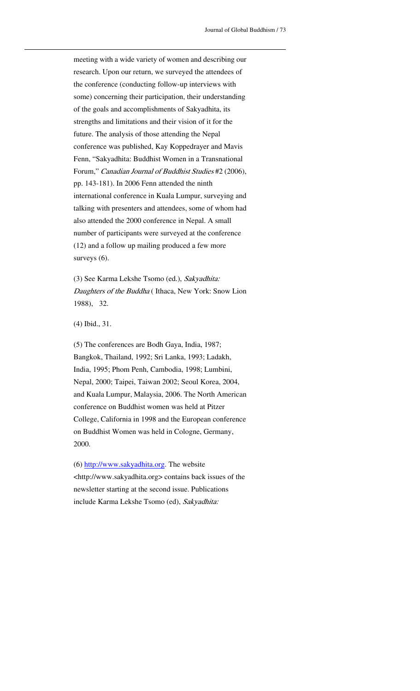meeting with a wide variety of women and describing our research. Upon our return, we surveyed the attendees of the conference (conducting follow-up interviews with some) concerning their participation, their understanding of the goals and accomplishments of Sakyadhita, its strengths and limitations and their vision of it for the future. The analysis of those attending the Nepal conference was published, Kay Koppedrayer and Mavis Fenn, "Sakyadhita: Buddhist Women in a Transnational Forum," Canadian Journal of Buddhist Studies #2 (2006), pp. 143-181). In 2006 Fenn attended the ninth international conference in Kuala Lumpur, surveying and talking with presenters and attendees, some of whom had also attended the 2000 conference in Nepal. A small number of participants were surveyed at the conference (12) and a follow up mailing produced a few more surveys  $(6)$ .

<u> 1989 - Johann Stein, marwolaethau a bhann an t-Amhain an t-Amhain an t-Amhain an t-Amhain an t-Amhain an t-A</u>

(3) See Karma Lekshe Tsomo (ed.), Sakyadhita: Daughters of the Buddha (Ithaca, New York: Snow Lion 1988), 32.

(4) Ibid., 31.

(5) The conferences are Bodh Gaya, India, 1987; Bangkok, Thailand, 1992; Sri Lanka, 1993; Ladakh, India, 1995; Phom Penh, Cambodia, 1998; Lumbini, Nepal, 2000; Taipei, Taiwan 2002; Seoul Korea, 2004, and Kuala Lumpur, Malaysia, 2006. The North American conference on Buddhist women was held at Pitzer College, California in 1998 and the European conference on Buddhist Women was held in Cologne, Germany, 2000.

(6) http://www.sakyadhita.org. The website <http://www.sakyadhita.org> contains back issues of the newsletter starting at the second issue. Publications include Karma Lekshe Tsomo (ed), Sakyadhita: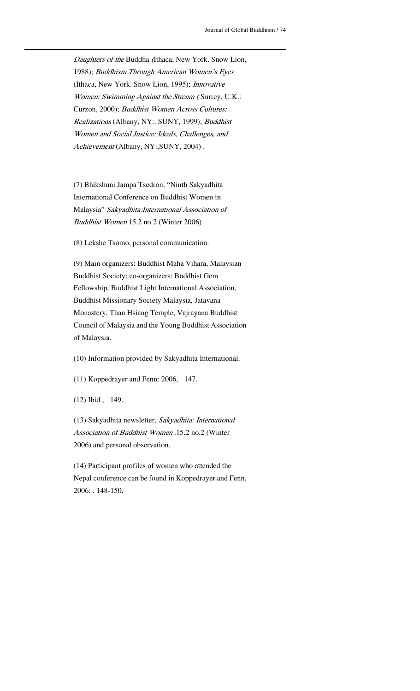Daughters of the Buddha (Ithaca, New York. Snow Lion, 1988); Buddhism Through American Women's Eyes (Ithaca, New York. Snow Lion, 1995); Innovative Women: Swimming Against the Stream (Surrey, U.K.: Curzon, 2000); Buddhist Women Across Cultures: Realizations (Albany, NY:. SUNY, 1999); Buddhist Women and Social Justice: Ideals, Challenges, and Achievement (Albany, NY:.SUNY, 2004) .

<u> 1989 - Johann Stein, marwolaethau a bhann an t-Amhain an t-Amhain an t-Amhain an t-Amhain an t-Amhain an t-A</u>

(7) Bhikshuni Jampa Tsedron, "Ninth Sakyadhita International Conference on Buddhist Women in Malaysia" Sakyadhita:International Association of Buddhist Women 15.2 no.2 (Winter 2006)

(8) Lekshe Tsomo, personal communication.

(9) Main organizers: Buddhist Maha Vihara, Malaysian Buddhist Society; co-organizers: Buddhist Gem Fellowship, Buddhist Light International Association, Buddhist Missionary Society Malaysia, Jatavana Monastery, Than Hsiang Temple, Vajrayana Buddhist Council of Malaysia and the Young Buddhist Association of Malaysia.

(10) Information provided by Sakyadhita International.

(11) Koppedrayer and Fenn: 2006, 147.

(12) Ibid., 149.

(13) Sakyadhita newsletter, Sakyadhita: International Association of Buddhist Women .15.2 no.2 (Winter 2006) and personal observation.

(14) Participant profiles of women who attended the Nepal conference can be found in Koppedrayer and Fenn, 2006: . 148-150.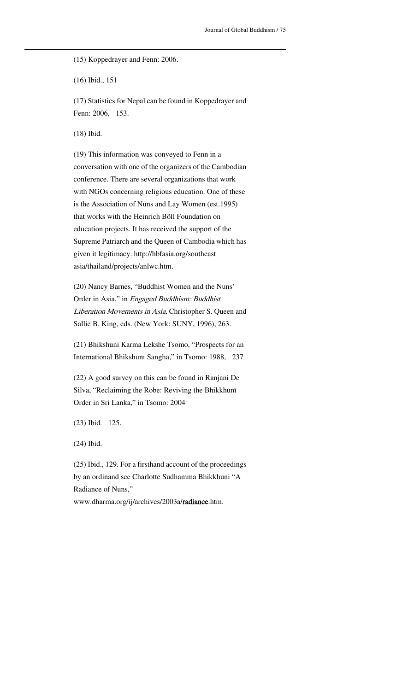(15) Koppedrayer and Fenn: 2006.

(16) Ibid., 151

(17) Statistics for Nepal can be found in Koppedrayer and Fenn: 2006, 153.

<u> 1989 - Johann Stein, marwolaethau a bhann an t-Amhain an t-Amhain an t-Amhain an t-Amhain an t-Amhain an t-A</u>

(18) Ibid.

(19) This information was conveyed to Fenn in a conversation with one of the organizers of the Cambodian conference. There are several organizations that work with NGOs concerning religious education. One of these is the Association of Nuns and Lay Women (est.1995) that works with the Heinrich Böll Foundation on education projects. It has received the support of the Supreme Patriarch and the Queen of Cambodia which has given it legitimacy. http://hbfasia.org/southeast asia/thailand/projects/anlwc.htm.

(20) Nancy Barnes, "Buddhist Women and the Nuns' Order in Asia," in Engaged Buddhism: Buddhist Liberation Movements in Asia, Christopher S. Queen and Sallie B. King, eds. (New York: SUNY, 1996), 263.

(21) Bhikshuni Karma Lekshe Tsomo, "Prospects for an International Bhikshunī Sangha," in Tsomo: 1988, 237

(22) A good survey on this can be found in Ranjani De Silva, "Reclaiming the Robe: Reviving the Bhikkhunī Order in Sri Lanka," in Tsomo: 2004

(23) Ibid. 125.

(24) Ibid.

(25) Ibid., 129. For a firsthand account of the proceedings by an ordinand see Charlotte Sudhamma Bhikkhuni "A Radiance of Nuns,"

www.dharma.org/ij/archives/2003a/radiance.htm.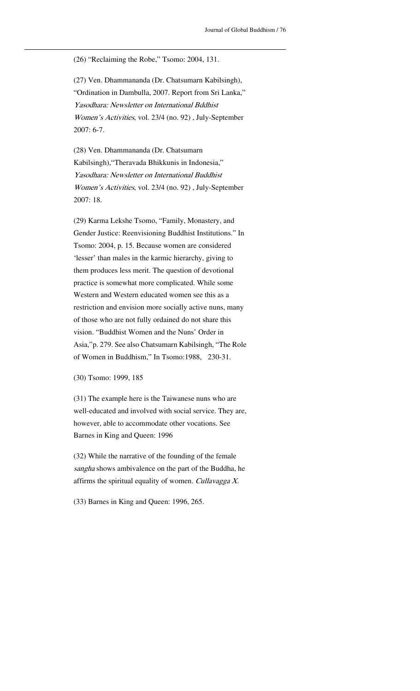(26) "Reclaiming the Robe," Tsomo: 2004, 131.

<u> 1989 - Johann Stein, marwolaethau a bhann an t-Amhain an t-Amhain an t-Amhain an t-Amhain an t-Amhain an t-A</u>

(27) Ven. Dhammananda (Dr. Chatsumarn Kabilsingh), "Ordination in Dambulla, 2007. Report from Sri Lanka," Yasodhara: Newsletter on International Bddhist Women's Activities, vol. 23/4 (no. 92) , July-September 2007: 6-7.

(28) Ven. Dhammananda (Dr. Chatsumarn Kabilsingh),"Theravada Bhikkunis in Indonesia," Yasodhara: Newsletter on International Buddhist Women's Activities, vol. 23/4 (no. 92) , July-September 2007: 18.

(29) Karma Lekshe Tsomo, "Family, Monastery, and Gender Justice: Reenvisioning Buddhist Institutions." In Tsomo: 2004, p. 15. Because women are considered 'lesser' than males in the karmic hierarchy, giving to them produces less merit. The question of devotional practice is somewhat more complicated. While some Western and Western educated women see this as a restriction and envision more socially active nuns, many of those who are not fully ordained do not share this vision. "Buddhist Women and the Nuns' Order in Asia,"p. 279. See also Chatsumarn Kabilsingh, "The Role of Women in Buddhism," In Tsomo:1988, 230-31.

(30) Tsomo: 1999, 185

(31) The example here is the Taiwanese nuns who are well-educated and involved with social service. They are, however, able to accommodate other vocations. See Barnes in King and Queen: 1996

(32) While the narrative of the founding of the female sangha shows ambivalence on the part of the Buddha, he affirms the spiritual equality of women. Cullavagga  $X$ .

(33) Barnes in King and Queen: 1996, 265.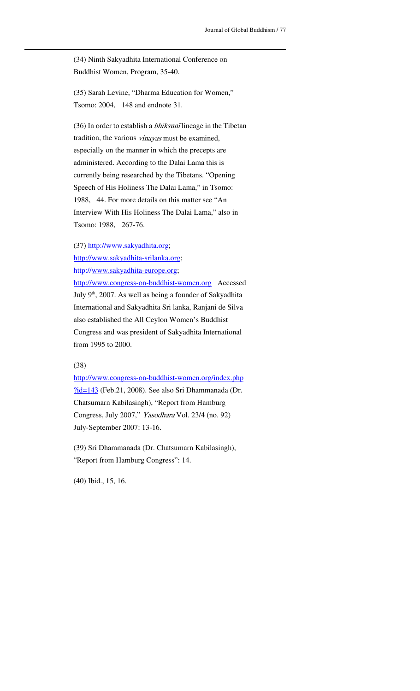(34) Ninth Sakyadhita International Conference on Buddhist Women, Program, 35-40.

<u> 1989 - Johann Stein, marwolaethau a bhann an t-Amhain an t-Amhain an t-Amhain an t-Amhain an t-Amhain an t-A</u>

(35) Sarah Levine, "Dharma Education for Women," Tsomo: 2004, 148 and endnote 31.

(36) In order to establish a *bhiksunī* lineage in the Tibetan tradition, the various vinayas must be examined, especially on the manner in which the precepts are administered. According to the Dalai Lama this is currently being researched by the Tibetans. "Opening Speech of His Holiness The Dalai Lama," in Tsomo: 1988, 44. For more details on this matter see "An Interview With His Holiness The Dalai Lama," also in Tsomo: 1988, 267-76.

(37) http://www.sakyadhita.org;

http://www.sakyadhita-srilanka.org;

http://www.sakyadhita-europe.org;

http://www.congress-on-buddhist-women.org Accessed July 9<sup>th</sup>, 2007. As well as being a founder of Sakyadhita International and Sakyadhita Sri lanka, Ranjani de Silva also established the All Ceylon Women's Buddhist Congress and was president of Sakyadhita International from 1995 to 2000.

# (38)

http://www.congress-on-buddhist-women.org/index.php ?id=143 (Feb.21, 2008). See also Sri Dhammanada (Dr. Chatsumarn Kabilasingh), "Report from Hamburg Congress, July 2007," Yasodhara Vol. 23/4 (no. 92) July-September 2007: 13-16.

(39) Sri Dhammanada (Dr. Chatsumarn Kabilasingh), "Report from Hamburg Congress": 14.

(40) Ibid., 15, 16.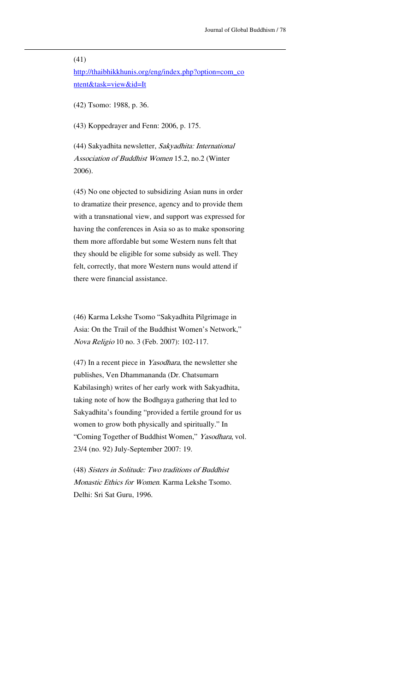#### (41)

http://thaibhikkhunis.org/eng/index.php?option=com\_co ntent&task=view&id=It

<u> 1989 - Johann Stein, marwolaethau a bhann an t-Amhain an t-Amhain an t-Amhain an t-Amhain an t-Amhain an t-A</u>

(42) Tsomo: 1988, p. 36.

(43) Koppedrayer and Fenn: 2006, p. 175.

(44) Sakyadhita newsletter, Sakyadhita: International Association of Buddhist Women 15.2, no.2 (Winter 2006).

(45) No one objected to subsidizing Asian nuns in order to dramatize their presence, agency and to provide them with a transnational view, and support was expressed for having the conferences in Asia so as to make sponsoring them more affordable but some Western nuns felt that they should be eligible for some subsidy as well. They felt, correctly, that more Western nuns would attend if there were financial assistance.

(46) Karma Lekshe Tsomo "Sakyadhita Pilgrimage in Asia: On the Trail of the Buddhist Women's Network," Nova Religio 10 no. 3 (Feb. 2007): 102-117.

(47) In a recent piece in Yasodhara, the newsletter she publishes, Ven Dhammananda (Dr. Chatsumarn Kabilasingh) writes of her early work with Sakyadhita, taking note of how the Bodhgaya gathering that led to Sakyadhita's founding "provided a fertile ground for us women to grow both physically and spiritually." In "Coming Together of Buddhist Women," Yasodhara, vol. 23/4 (no. 92) July-September 2007: 19.

(48) Sisters in Solitude: Two traditions of Buddhist Monastic Ethics for Women. Karma Lekshe Tsomo. Delhi: Sri Sat Guru, 1996.